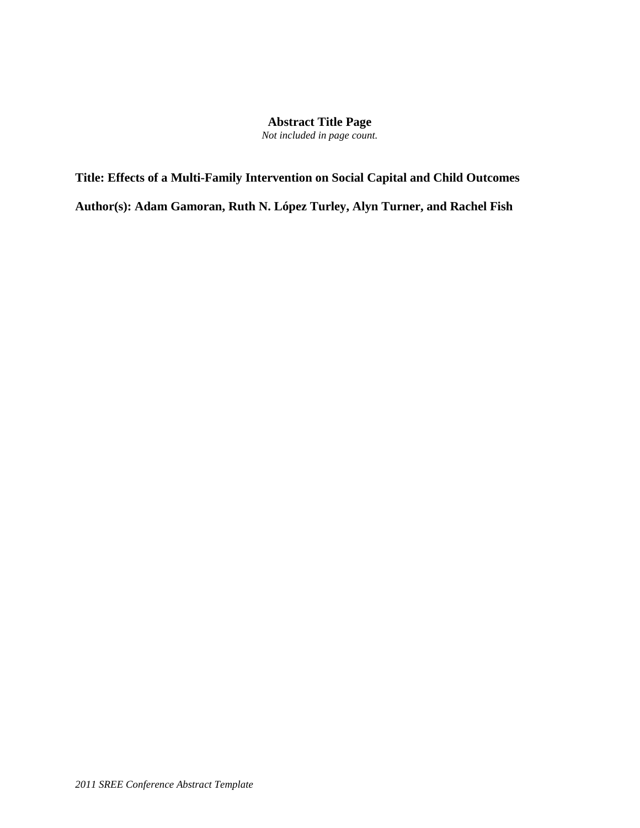# **Abstract Title Page**

*Not included in page count.*

**Title: Effects of a Multi-Family Intervention on Social Capital and Child Outcomes Author(s): Adam Gamoran, Ruth N. López Turley, Alyn Turner, and Rachel Fish**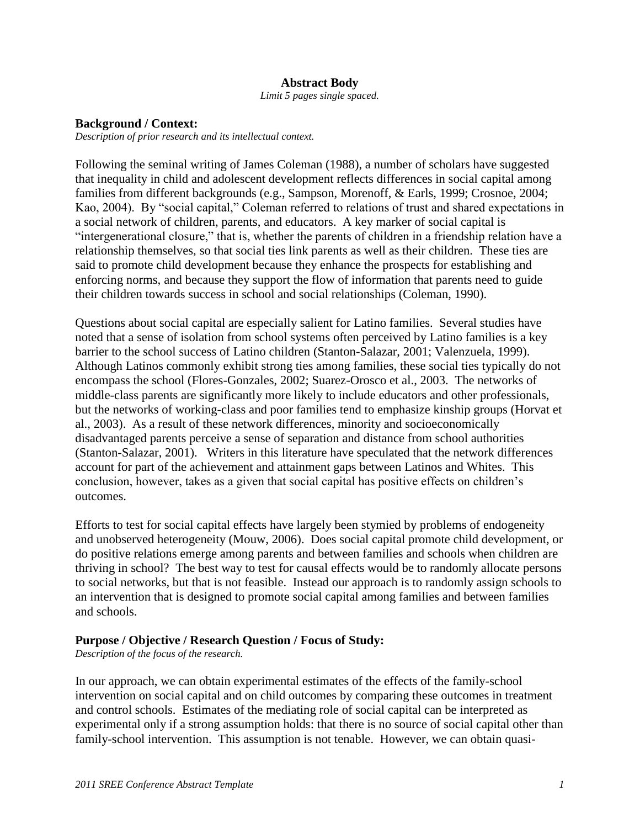### **Abstract Body**

*Limit 5 pages single spaced.*

#### **Background / Context:**

*Description of prior research and its intellectual context.*

Following the seminal writing of James Coleman (1988), a number of scholars have suggested that inequality in child and adolescent development reflects differences in social capital among families from different backgrounds (e.g., Sampson, Morenoff, & Earls, 1999; Crosnoe, 2004; Kao, 2004). By "social capital," Coleman referred to relations of trust and shared expectations in a social network of children, parents, and educators. A key marker of social capital is "intergenerational closure," that is, whether the parents of children in a friendship relation have a relationship themselves, so that social ties link parents as well as their children. These ties are said to promote child development because they enhance the prospects for establishing and enforcing norms, and because they support the flow of information that parents need to guide their children towards success in school and social relationships (Coleman, 1990).

Questions about social capital are especially salient for Latino families. Several studies have noted that a sense of isolation from school systems often perceived by Latino families is a key barrier to the school success of Latino children (Stanton-Salazar, 2001; Valenzuela, 1999). Although Latinos commonly exhibit strong ties among families, these social ties typically do not encompass the school (Flores-Gonzales, 2002; Suarez-Orosco et al., 2003. The networks of middle-class parents are significantly more likely to include educators and other professionals, but the networks of working-class and poor families tend to emphasize kinship groups (Horvat et al., 2003). As a result of these network differences, minority and socioeconomically disadvantaged parents perceive a sense of separation and distance from school authorities (Stanton-Salazar, 2001). Writers in this literature have speculated that the network differences account for part of the achievement and attainment gaps between Latinos and Whites. This conclusion, however, takes as a given that social capital has positive effects on children's outcomes.

Efforts to test for social capital effects have largely been stymied by problems of endogeneity and unobserved heterogeneity (Mouw, 2006). Does social capital promote child development, or do positive relations emerge among parents and between families and schools when children are thriving in school? The best way to test for causal effects would be to randomly allocate persons to social networks, but that is not feasible. Instead our approach is to randomly assign schools to an intervention that is designed to promote social capital among families and between families and schools.

### **Purpose / Objective / Research Question / Focus of Study:**

*Description of the focus of the research.*

In our approach, we can obtain experimental estimates of the effects of the family-school intervention on social capital and on child outcomes by comparing these outcomes in treatment and control schools. Estimates of the mediating role of social capital can be interpreted as experimental only if a strong assumption holds: that there is no source of social capital other than family-school intervention. This assumption is not tenable. However, we can obtain quasi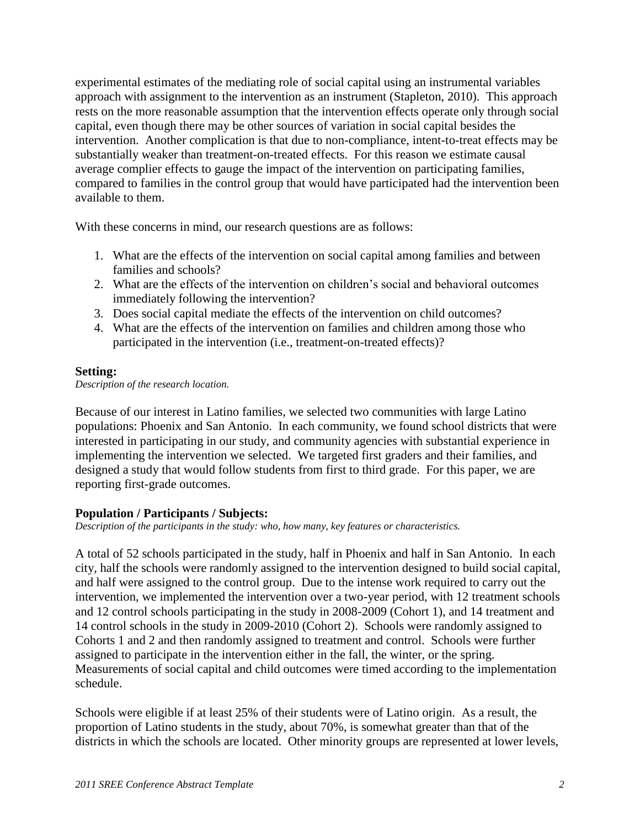experimental estimates of the mediating role of social capital using an instrumental variables approach with assignment to the intervention as an instrument (Stapleton, 2010). This approach rests on the more reasonable assumption that the intervention effects operate only through social capital, even though there may be other sources of variation in social capital besides the intervention. Another complication is that due to non-compliance, intent-to-treat effects may be substantially weaker than treatment-on-treated effects. For this reason we estimate causal average complier effects to gauge the impact of the intervention on participating families, compared to families in the control group that would have participated had the intervention been available to them.

With these concerns in mind, our research questions are as follows:

- 1. What are the effects of the intervention on social capital among families and between families and schools?
- 2. What are the effects of the intervention on children's social and behavioral outcomes immediately following the intervention?
- 3. Does social capital mediate the effects of the intervention on child outcomes?
- 4. What are the effects of the intervention on families and children among those who participated in the intervention (i.e., treatment-on-treated effects)?

# **Setting:**

*Description of the research location.*

Because of our interest in Latino families, we selected two communities with large Latino populations: Phoenix and San Antonio. In each community, we found school districts that were interested in participating in our study, and community agencies with substantial experience in implementing the intervention we selected. We targeted first graders and their families, and designed a study that would follow students from first to third grade. For this paper, we are reporting first-grade outcomes.

# **Population / Participants / Subjects:**

*Description of the participants in the study: who, how many, key features or characteristics.*

A total of 52 schools participated in the study, half in Phoenix and half in San Antonio. In each city, half the schools were randomly assigned to the intervention designed to build social capital, and half were assigned to the control group. Due to the intense work required to carry out the intervention, we implemented the intervention over a two-year period, with 12 treatment schools and 12 control schools participating in the study in 2008-2009 (Cohort 1), and 14 treatment and 14 control schools in the study in 2009-2010 (Cohort 2). Schools were randomly assigned to Cohorts 1 and 2 and then randomly assigned to treatment and control. Schools were further assigned to participate in the intervention either in the fall, the winter, or the spring. Measurements of social capital and child outcomes were timed according to the implementation schedule.

Schools were eligible if at least 25% of their students were of Latino origin. As a result, the proportion of Latino students in the study, about 70%, is somewhat greater than that of the districts in which the schools are located. Other minority groups are represented at lower levels,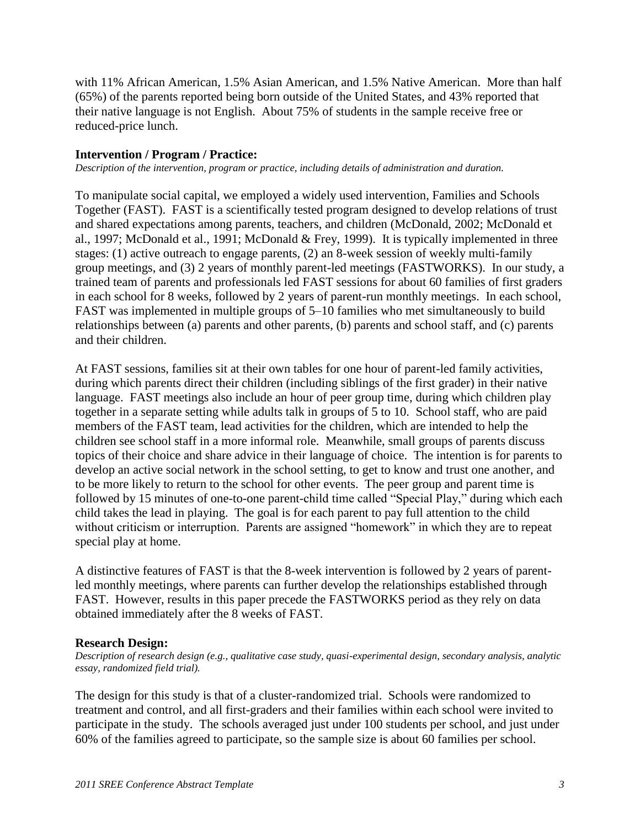with 11% African American, 1.5% Asian American, and 1.5% Native American. More than half (65%) of the parents reported being born outside of the United States, and 43% reported that their native language is not English. About 75% of students in the sample receive free or reduced-price lunch.

### **Intervention / Program / Practice:**

*Description of the intervention, program or practice, including details of administration and duration.*

To manipulate social capital, we employed a widely used intervention, Families and Schools Together (FAST). FAST is a scientifically tested program designed to develop relations of trust and shared expectations among parents, teachers, and children (McDonald, 2002; McDonald et al., 1997; McDonald et al., 1991; McDonald & Frey, 1999). It is typically implemented in three stages: (1) active outreach to engage parents, (2) an 8-week session of weekly multi-family group meetings, and (3) 2 years of monthly parent-led meetings (FASTWORKS). In our study, a trained team of parents and professionals led FAST sessions for about 60 families of first graders in each school for 8 weeks, followed by 2 years of parent-run monthly meetings. In each school, FAST was implemented in multiple groups of 5–10 families who met simultaneously to build relationships between (a) parents and other parents, (b) parents and school staff, and (c) parents and their children.

At FAST sessions, families sit at their own tables for one hour of parent-led family activities, during which parents direct their children (including siblings of the first grader) in their native language. FAST meetings also include an hour of peer group time, during which children play together in a separate setting while adults talk in groups of 5 to 10. School staff, who are paid members of the FAST team, lead activities for the children, which are intended to help the children see school staff in a more informal role. Meanwhile, small groups of parents discuss topics of their choice and share advice in their language of choice. The intention is for parents to develop an active social network in the school setting, to get to know and trust one another, and to be more likely to return to the school for other events. The peer group and parent time is followed by 15 minutes of one-to-one parent-child time called "Special Play," during which each child takes the lead in playing. The goal is for each parent to pay full attention to the child without criticism or interruption. Parents are assigned "homework" in which they are to repeat special play at home.

A distinctive features of FAST is that the 8-week intervention is followed by 2 years of parentled monthly meetings, where parents can further develop the relationships established through FAST. However, results in this paper precede the FASTWORKS period as they rely on data obtained immediately after the 8 weeks of FAST.

### **Research Design:**

*Description of research design (e.g., qualitative case study, quasi-experimental design, secondary analysis, analytic essay, randomized field trial).*

The design for this study is that of a cluster-randomized trial. Schools were randomized to treatment and control, and all first-graders and their families within each school were invited to participate in the study. The schools averaged just under 100 students per school, and just under 60% of the families agreed to participate, so the sample size is about 60 families per school.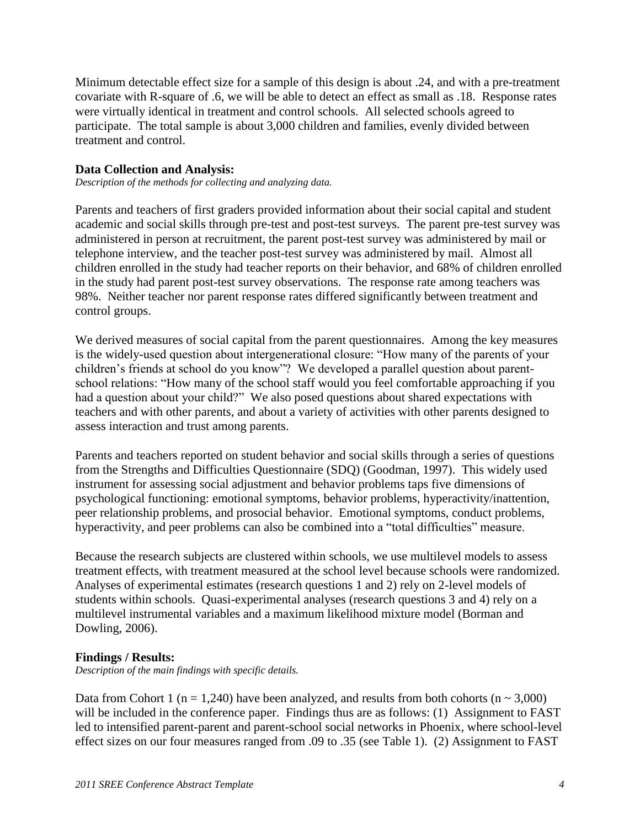Minimum detectable effect size for a sample of this design is about .24, and with a pre-treatment covariate with R-square of .6, we will be able to detect an effect as small as .18. Response rates were virtually identical in treatment and control schools. All selected schools agreed to participate. The total sample is about 3,000 children and families, evenly divided between treatment and control.

## **Data Collection and Analysis:**

*Description of the methods for collecting and analyzing data.*

Parents and teachers of first graders provided information about their social capital and student academic and social skills through pre-test and post-test surveys. The parent pre-test survey was administered in person at recruitment, the parent post-test survey was administered by mail or telephone interview, and the teacher post-test survey was administered by mail. Almost all children enrolled in the study had teacher reports on their behavior, and 68% of children enrolled in the study had parent post-test survey observations. The response rate among teachers was 98%. Neither teacher nor parent response rates differed significantly between treatment and control groups.

We derived measures of social capital from the parent questionnaires. Among the key measures is the widely-used question about intergenerational closure: "How many of the parents of your children's friends at school do you know"? We developed a parallel question about parentschool relations: "How many of the school staff would you feel comfortable approaching if you had a question about your child?" We also posed questions about shared expectations with teachers and with other parents, and about a variety of activities with other parents designed to assess interaction and trust among parents.

Parents and teachers reported on student behavior and social skills through a series of questions from the Strengths and Difficulties Questionnaire (SDQ) (Goodman, 1997). This widely used instrument for assessing social adjustment and behavior problems taps five dimensions of psychological functioning: emotional symptoms, behavior problems, hyperactivity/inattention, peer relationship problems, and prosocial behavior. Emotional symptoms, conduct problems, hyperactivity, and peer problems can also be combined into a "total difficulties" measure.

Because the research subjects are clustered within schools, we use multilevel models to assess treatment effects, with treatment measured at the school level because schools were randomized. Analyses of experimental estimates (research questions 1 and 2) rely on 2-level models of students within schools. Quasi-experimental analyses (research questions 3 and 4) rely on a multilevel instrumental variables and a maximum likelihood mixture model (Borman and Dowling, 2006).

### **Findings / Results:**

*Description of the main findings with specific details.*

Data from Cohort 1 (n = 1,240) have been analyzed, and results from both cohorts (n  $\sim$  3,000) will be included in the conference paper. Findings thus are as follows: (1) Assignment to FAST led to intensified parent-parent and parent-school social networks in Phoenix, where school-level effect sizes on our four measures ranged from .09 to .35 (see Table 1). (2) Assignment to FAST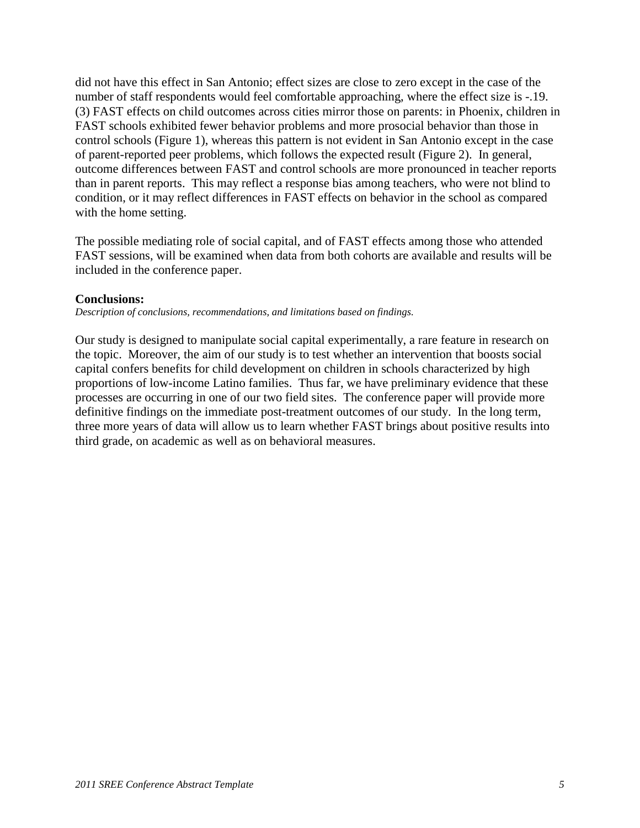did not have this effect in San Antonio; effect sizes are close to zero except in the case of the number of staff respondents would feel comfortable approaching, where the effect size is -.19. (3) FAST effects on child outcomes across cities mirror those on parents: in Phoenix, children in FAST schools exhibited fewer behavior problems and more prosocial behavior than those in control schools (Figure 1), whereas this pattern is not evident in San Antonio except in the case of parent-reported peer problems, which follows the expected result (Figure 2). In general, outcome differences between FAST and control schools are more pronounced in teacher reports than in parent reports. This may reflect a response bias among teachers, who were not blind to condition, or it may reflect differences in FAST effects on behavior in the school as compared with the home setting.

The possible mediating role of social capital, and of FAST effects among those who attended FAST sessions, will be examined when data from both cohorts are available and results will be included in the conference paper.

### **Conclusions:**

*Description of conclusions, recommendations, and limitations based on findings.*

Our study is designed to manipulate social capital experimentally, a rare feature in research on the topic. Moreover, the aim of our study is to test whether an intervention that boosts social capital confers benefits for child development on children in schools characterized by high proportions of low-income Latino families. Thus far, we have preliminary evidence that these processes are occurring in one of our two field sites. The conference paper will provide more definitive findings on the immediate post-treatment outcomes of our study. In the long term, three more years of data will allow us to learn whether FAST brings about positive results into third grade, on academic as well as on behavioral measures.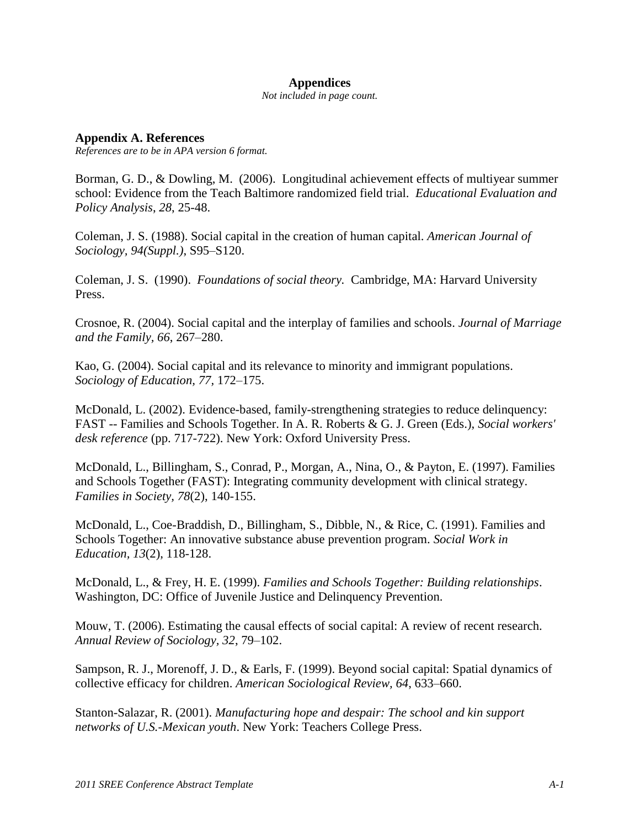#### **Appendices**

*Not included in page count.*

**Appendix A. References** *References are to be in APA version 6 format.*

Borman, G. D., & Dowling, M. (2006). Longitudinal achievement effects of multiyear summer school: Evidence from the Teach Baltimore randomized field trial. *Educational Evaluation and Policy Analysis*, *28*, 25-48.

Coleman, J. S. (1988). Social capital in the creation of human capital. *American Journal of Sociology, 94(Suppl.)*, S95–S120.

Coleman, J. S. (1990). *Foundations of social theory.* Cambridge, MA: Harvard University Press.

Crosnoe, R. (2004). Social capital and the interplay of families and schools. *Journal of Marriage and the Family, 66*, 267–280.

Kao, G. (2004). Social capital and its relevance to minority and immigrant populations. *Sociology of Education, 77,* 172–175.

McDonald, L. (2002). Evidence-based, family-strengthening strategies to reduce delinquency: FAST -- Families and Schools Together. In A. R. Roberts & G. J. Green (Eds.), *Social workers' desk reference* (pp. 717-722). New York: Oxford University Press.

McDonald, L., Billingham, S., Conrad, P., Morgan, A., Nina, O., & Payton, E. (1997). Families and Schools Together (FAST): Integrating community development with clinical strategy. *Families in Society, 78*(2), 140-155.

McDonald, L., Coe-Braddish, D., Billingham, S., Dibble, N., & Rice, C. (1991). Families and Schools Together: An innovative substance abuse prevention program. *Social Work in Education, 13*(2), 118-128.

McDonald, L., & Frey, H. E. (1999). *Families and Schools Together: Building relationships*. Washington, DC: Office of Juvenile Justice and Delinquency Prevention.

Mouw, T. (2006). Estimating the causal effects of social capital: A review of recent research. *Annual Review of Sociology, 32*, 79–102.

Sampson, R. J., Morenoff, J. D., & Earls, F. (1999). Beyond social capital: Spatial dynamics of collective efficacy for children. *American Sociological Review, 64*, 633–660.

Stanton-Salazar, R. (2001). *Manufacturing hope and despair: The school and kin support networks of U.S.-Mexican youth*. New York: Teachers College Press.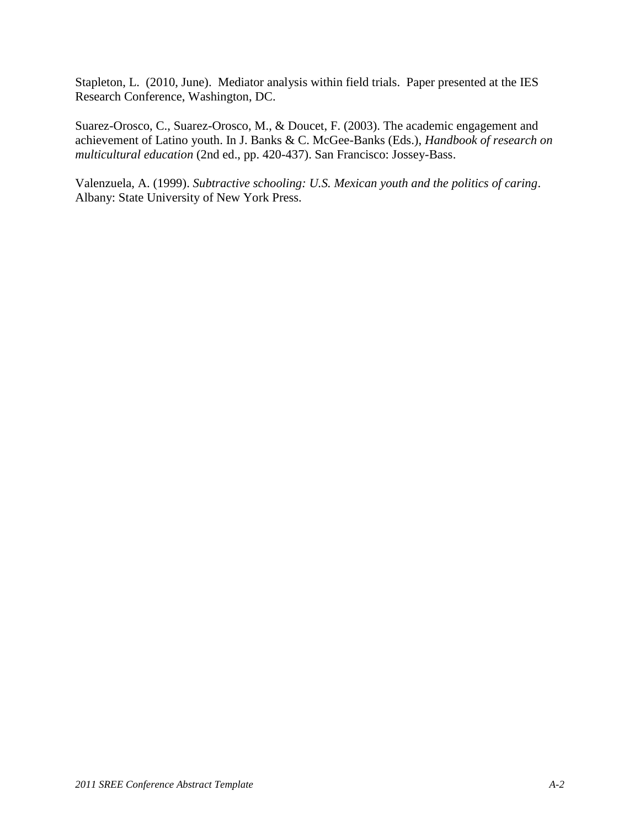Stapleton, L. (2010, June). Mediator analysis within field trials. Paper presented at the IES Research Conference, Washington, DC.

Suarez-Orosco, C., Suarez-Orosco, M., & Doucet, F. (2003). The academic engagement and achievement of Latino youth. In J. Banks & C. McGee-Banks (Eds.), *Handbook of research on multicultural education* (2nd ed., pp. 420-437). San Francisco: Jossey-Bass.

Valenzuela, A. (1999). *Subtractive schooling: U.S. Mexican youth and the politics of caring*. Albany: State University of New York Press.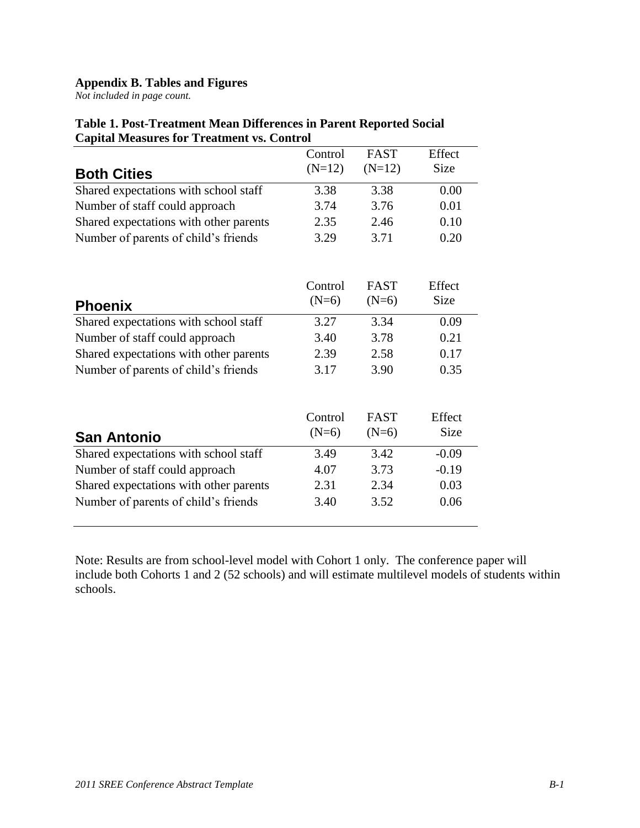## **Appendix B. Tables and Figures**

*Not included in page count.*

|                                        | Control            | <b>FAST</b>            | Effect         |
|----------------------------------------|--------------------|------------------------|----------------|
| <b>Both Cities</b>                     | $(N=12)$           | $(N=12)$               | Size           |
| Shared expectations with school staff  | 3.38               | 3.38                   | 0.00           |
| Number of staff could approach         | 3.74               | 3.76                   | 0.01           |
| Shared expectations with other parents | 2.35               | 2.46                   | 0.10           |
| Number of parents of child's friends   | 3.29               | 3.71                   | 0.20           |
| <b>Phoenix</b>                         | Control<br>$(N=6)$ | <b>FAST</b><br>$(N=6)$ | Effect<br>Size |
| Shared expectations with school staff  | 3.27               | 3.34                   | 0.09           |
| Number of staff could approach         | 3.40               | 3.78                   | 0.21           |
| Shared expectations with other parents | 2.39               | 2.58                   | 0.17           |
| Number of parents of child's friends   | 3.17               | 3.90                   | 0.35           |
| <b>San Antonio</b>                     | Control<br>$(N=6)$ | <b>FAST</b><br>$(N=6)$ | Effect<br>Size |
| Shared expectations with school staff  | 3.49               | 3.42                   | $-0.09$        |
| Number of staff could approach         | 4.07               | 3.73                   | $-0.19$        |
| Shared expectations with other parents | 2.31               | 2.34                   | 0.03           |
| Number of parents of child's friends   | 3.40               | 3.52                   | 0.06           |

## **Table 1. Post-Treatment Mean Differences in Parent Reported Social Capital Measures for Treatment vs. Control**

Note: Results are from school-level model with Cohort 1 only. The conference paper will include both Cohorts 1 and 2 (52 schools) and will estimate multilevel models of students within schools.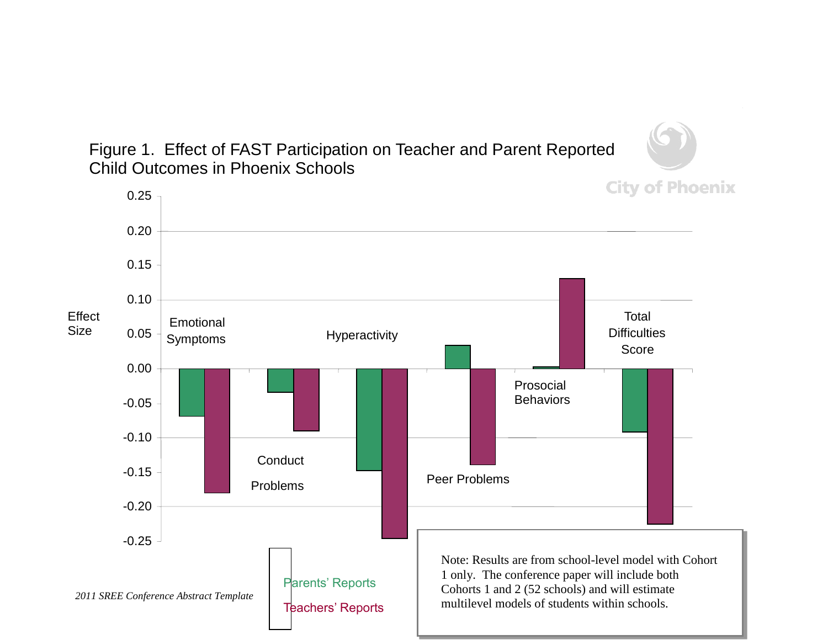Figure 1. Effect of FAST Participation on Teacher and Parent Reported Child Outcomes in Phoenix Schools